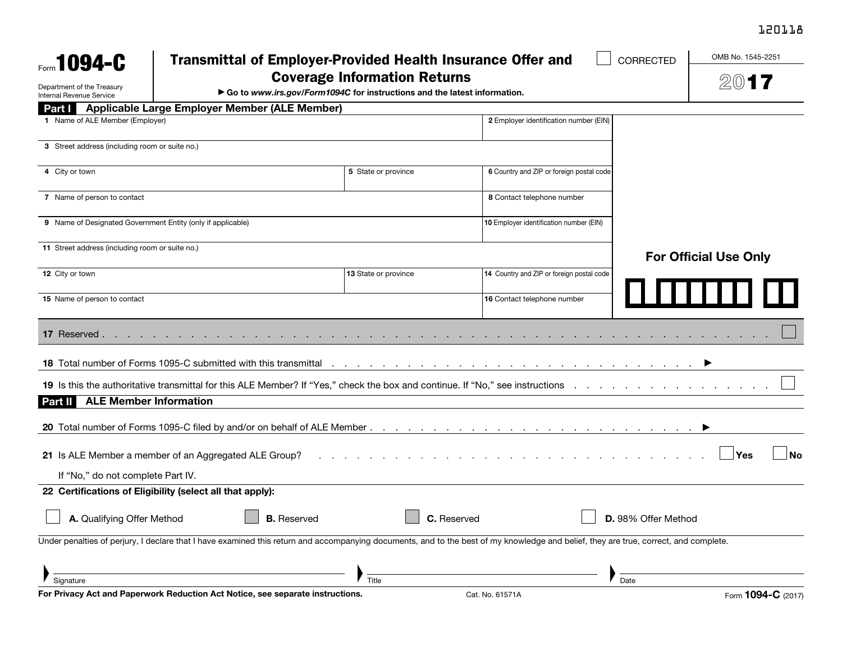## 120118

| Form $1094-C$                                               | <b>Transmittal of Employer-Provided Health Insurance Offer and</b>                                                                                                                   |                              |                                           | CORRECTED           | OMB No. 1545-2251  |
|-------------------------------------------------------------|--------------------------------------------------------------------------------------------------------------------------------------------------------------------------------------|------------------------------|-------------------------------------------|---------------------|--------------------|
|                                                             | <b>Coverage Information Returns</b>                                                                                                                                                  |                              |                                           |                     |                    |
| Department of the Treasury<br>Internal Revenue Service      | Go to www.irs.gov/Form1094C for instructions and the latest information.                                                                                                             | 200                          |                                           |                     |                    |
| Part I                                                      | Applicable Large Employer Member (ALE Member)                                                                                                                                        |                              |                                           |                     |                    |
| 1 Name of ALE Member (Employer)                             |                                                                                                                                                                                      |                              | 2 Employer identification number (EIN)    |                     |                    |
| 3 Street address (including room or suite no.)              |                                                                                                                                                                                      |                              |                                           |                     |                    |
| 4 City or town                                              |                                                                                                                                                                                      | 5 State or province          | 6 Country and ZIP or foreign postal code  |                     |                    |
| 7 Name of person to contact                                 |                                                                                                                                                                                      |                              | 8 Contact telephone number                |                     |                    |
| 9 Name of Designated Government Entity (only if applicable) |                                                                                                                                                                                      |                              | 10 Employer identification number (EIN)   |                     |                    |
| 11 Street address (including room or suite no.)             |                                                                                                                                                                                      | <b>For Official Use Only</b> |                                           |                     |                    |
| 12 City or town                                             |                                                                                                                                                                                      | 13 State or province         | 14 Country and ZIP or foreign postal code |                     |                    |
| 15 Name of person to contact                                |                                                                                                                                                                                      |                              | 16 Contact telephone number               |                     |                    |
| 17 Reserved.                                                |                                                                                                                                                                                      |                              |                                           |                     |                    |
|                                                             | 18 Total number of Forms 1095-C submitted with this transmittal                                                                                                                      | the company of the company   | the contract of the contract of the       |                     |                    |
|                                                             | 19 Is this the authoritative transmittal for this ALE Member? If "Yes," check the box and continue. If "No," see instructions .                                                      |                              |                                           |                     |                    |
| <b>ALE Member Information</b><br>Part II                    |                                                                                                                                                                                      |                              |                                           |                     |                    |
|                                                             |                                                                                                                                                                                      |                              |                                           |                     |                    |
|                                                             | 21 Is ALE Member a member of an Aggregated ALE Group?                                                                                                                                |                              |                                           |                     | No<br>Yes          |
| If "No," do not complete Part IV.                           |                                                                                                                                                                                      |                              |                                           |                     |                    |
|                                                             | 22 Certifications of Eligibility (select all that apply):                                                                                                                            |                              |                                           |                     |                    |
| A. Qualifying Offer Method                                  | <b>B.</b> Reserved                                                                                                                                                                   |                              | C. Reserved                               | D. 98% Offer Method |                    |
|                                                             | Under penalties of perjury, I declare that I have examined this return and accompanying documents, and to the best of my knowledge and belief, they are true, correct, and complete. |                              |                                           |                     |                    |
|                                                             |                                                                                                                                                                                      |                              |                                           |                     |                    |
| Signature                                                   | For Privacy Act and Paperwork Reduction Act Notice, see separate instructions.                                                                                                       | Title                        | Cat. No. 61571A                           | Date                | Form 1094-C (2017) |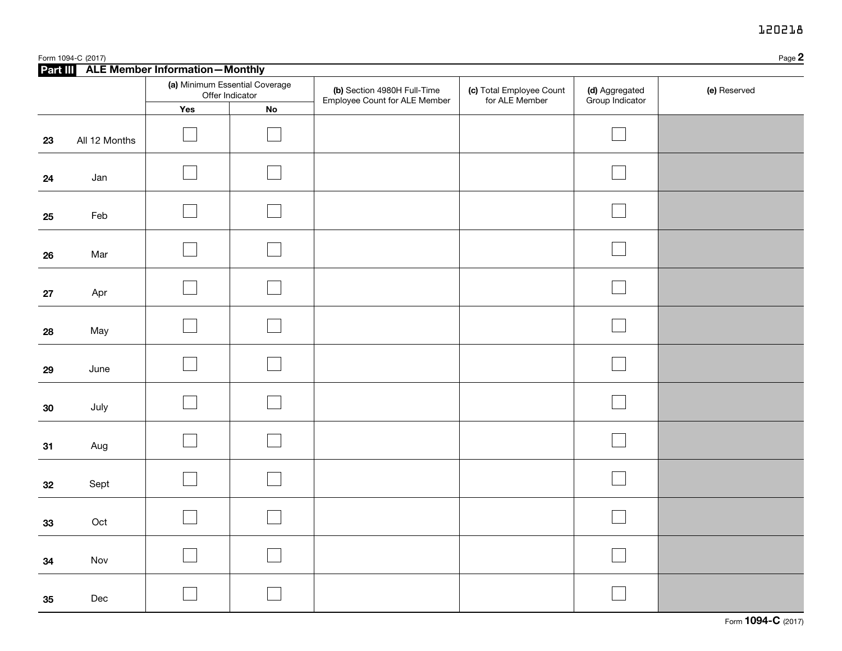## 120218

|            | Page 2<br>Form 1094-C (2017) |                                                   |    |                                                              |                                            |                                   |              |  |
|------------|------------------------------|---------------------------------------------------|----|--------------------------------------------------------------|--------------------------------------------|-----------------------------------|--------------|--|
|            |                              | Part III ALE Member Information-Monthly           |    |                                                              |                                            |                                   |              |  |
|            |                              | (a) Minimum Essential Coverage<br>Offer Indicator |    | (b) Section 4980H Full-Time<br>Employee Count for ALE Member | (c) Total Employee Count<br>for ALE Member | (d) Aggregated<br>Group Indicator | (e) Reserved |  |
|            |                              | Yes                                               | No |                                                              |                                            |                                   |              |  |
| 23         | All 12 Months                |                                                   |    |                                                              |                                            |                                   |              |  |
| 24         | Jan                          |                                                   |    |                                                              |                                            |                                   |              |  |
| 25         | Feb                          |                                                   |    |                                                              |                                            |                                   |              |  |
| 26         | Mar                          |                                                   |    |                                                              |                                            |                                   |              |  |
| ${\bf 27}$ | Apr                          |                                                   |    |                                                              |                                            |                                   |              |  |
| 28         | May                          |                                                   |    |                                                              |                                            |                                   |              |  |
| 29         | June                         |                                                   |    |                                                              |                                            |                                   |              |  |
| 30         | July                         |                                                   |    |                                                              |                                            |                                   |              |  |
| 31         | Aug                          |                                                   |    |                                                              |                                            |                                   |              |  |
| 32         | Sept                         |                                                   |    |                                                              |                                            |                                   |              |  |
| 33         | Oct                          |                                                   |    |                                                              |                                            |                                   |              |  |
| 34         | Nov                          |                                                   |    |                                                              |                                            |                                   |              |  |
| 35         | Dec                          |                                                   |    |                                                              |                                            |                                   |              |  |